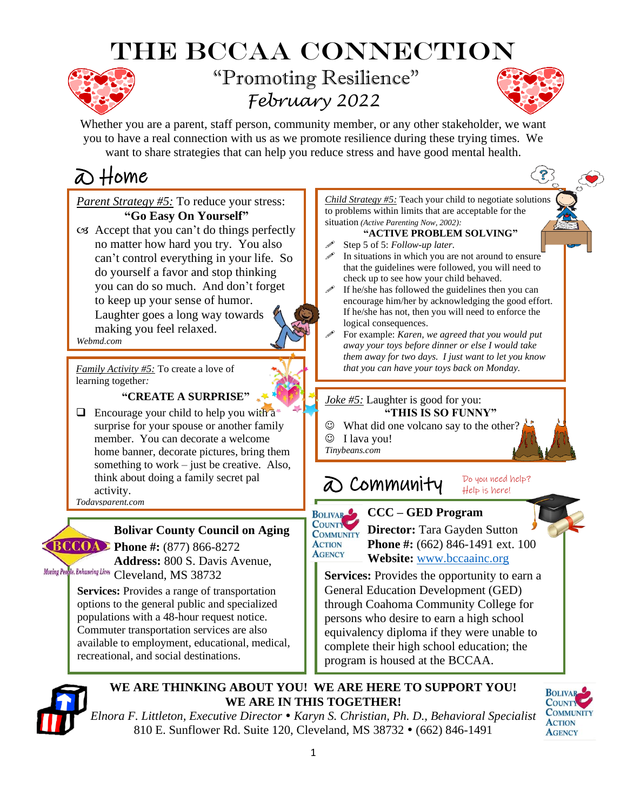# The BCCAA Connection



## "Promoting Resilience" *February 2022*



ကြွ

Whether you are a parent, staff person, community member, or any other stakeholder, we want you to have a real connection with us as we promote resilience during these trying times. We want to share strategies that can help you reduce stress and have good mental health.

## @ Home

*Parent Strategy #5:* To reduce your stress: **"Go Easy On Yourself"**  $\infty$  Accept that you can't do things perfectly

no matter how hard you try. You also can't control everything in your life. So do yourself a favor and stop thinking you can do so much. And don't forget to keep up your sense of humor. Laughter goes a long way towards making you feel relaxed.

*Webmd.com*

*Family Activity #5:* To create a love of learning together*:*

### **"CREATE A SURPRISE"**

 $\Box$  Encourage your child to help you with  $a^*$ surprise for your spouse or another family member. You can decorate a welcome home banner, decorate pictures, bring them something to work – just be creative. Also, think about doing a family secret pal activity.

*Todaysparent.com*

### **Bolivar County Council on Aging**

**BCCOA** Phone #: (877) 866-8272 **Address:** 800 S. Davis Avenue, Moving Peo<mark>ple, Enhancing Lives Cleveland, MS 38732</mark>

> . options to the general public and specialized . populations with a 48-hour request notice. **Services:** Provides a range of transportation Commuter transportation services are also available to employment, educational, medical, recreational, and social destinations.

*Child Strategy #5:* Teach your child to negotiate solutions to problems within limits that are acceptable for the situation *(Active Parenting Now, 2002):*

**"ACTIVE PROBLEM SOLVING"**

- Step 5 of 5: *Follow-up later.*
- In situations in which you are not around to ensure that the guidelines were followed, you will need to check up to see how your child behaved.
- If he/she has followed the guidelines then you can encourage him/her by acknowledging the good effort. If he/she has not, then you will need to enforce the logical consequences.
- For example: *Karen, we agreed that you would put away your toys before dinner or else I would take them away for two days. I just want to let you know that you can have your toys back on Monday.*

### *Joke #5:* Laughter is good for you:

### **"THIS IS SO FUNNY"**

- $\odot$  What did one volcano say to the other?
- ☺ I lava you!
- *Tinybeans.com*

#### @ Community Do you need help? Help is here!



**AGENCY** 

**EQUIVARED CCC – GED Program** 

**COUNTILET Director:** Tara Gayden Sutton **Phone #:** (662) 846-1491 ext. 100  **Website:** [www.bccaainc.org](http://www.bccaainc.org/)

**Services:** Provides the opportunity to earn a General Education Development (GED) through Coahoma Community College for persons who desire to earn a high school equivalency diploma if they were unable to complete their high school education; the program is housed at the BCCAA.



### **WE ARE THINKING ABOUT YOU! WE ARE HERE TO SUPPORT YOU! WE ARE IN THIS TOGETHER!**

*Elnora F. Littleton, Executive Director Karyn S. Christian, Ph. D., Behavioral Specialist* 810 E. Sunflower Rd. Suite 120, Cleveland, MS 38732 • (662) 846-1491

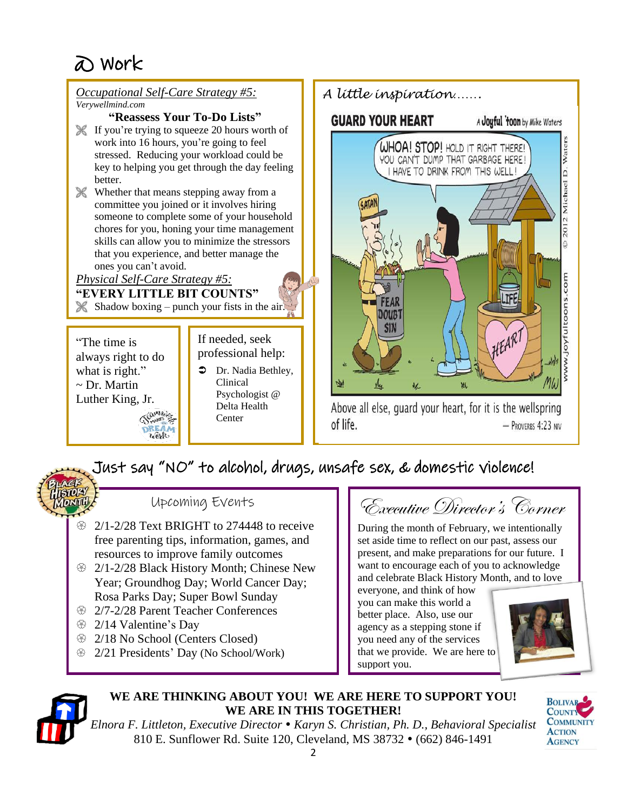

### Just say "NO" to alcohol, drugs, unsafe sex, & domestic violence!



Upcoming Events

- $\otimes$  2/1-2/28 Text BRIGHT to 274448 to receive free parenting tips, information, games, and resources to improve family outcomes
- **2/1-2/28 Black History Month; Chinese New** Year; Groundhog Day; World Cancer Day; Rosa Parks Day; Super Bowl Sunday
- <sup>2/7-2/28</sup> Parent Teacher Conferences
- <sup>29</sup> 2/14 Valentine's Day
- $\circ$  2/18 No School (Centers Closed)
- **2/21 Presidents' Day (No School/Work)**

Executive Director's Corner

During the month of February, we intentionally set aside time to reflect on our past, assess our present, and make preparations for our future. I want to encourage each of you to acknowledge and celebrate Black History Month, and to love

everyone, and think of how you can make this world a better place. Also, use our agency as a stepping stone if you need any of the services that we provide. We are here to support you.





### **WE ARE THINKING ABOUT YOU! WE ARE HERE TO SUPPORT YOU! WE ARE IN THIS TOGETHER!**



*Elnora F. Littleton, Executive Director Karyn S. Christian, Ph. D., Behavioral Specialist* 810 E. Sunflower Rd. Suite 120, Cleveland, MS 38732 • (662) 846-1491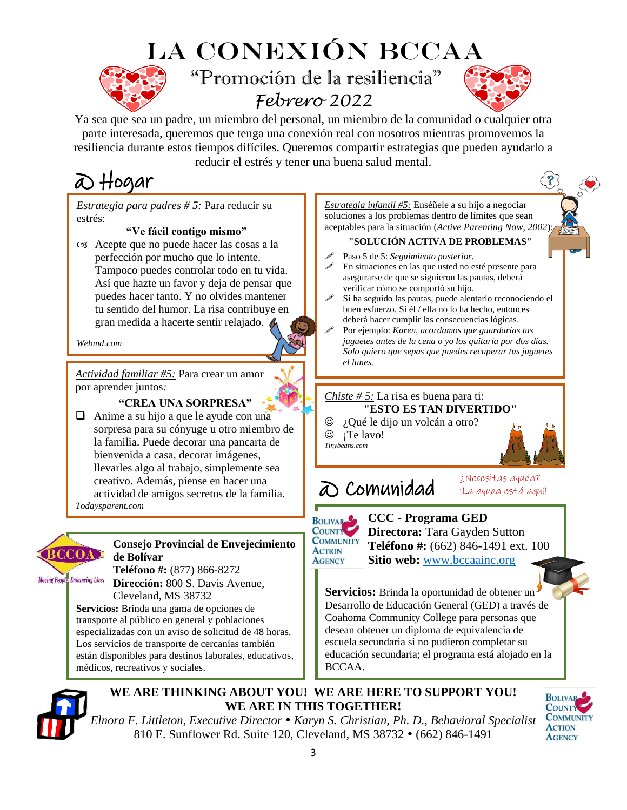## La conexión BCCAA "Promoción de la resiliencia" *Febrero 2022*



Ya sea que sea un padre, un miembro del personal, un miembro de la comunidad o cualquier otra parte interesada, queremos que tenga una conexión real con nosotros mientras promovemos la resiliencia durante estos tiempos difíciles. Queremos compartir estrategias que pueden ayudarlo a reducir el estrés y tener una buena salud mental.

## @ Hogar

*Estrategia para padres # 5:* Para reducir su estrés:

#### **"Ve fácil contigo mismo"**

 Acepte que no puede hacer las cosas a la perfección por mucho que lo intente. Tampoco puedes controlar todo en tu vida. Así que hazte un favor y deja de pensar que puedes hacer tanto. Y no olvides mantener tu sentido del humor. La risa contribuye en gran medida a hacerte sentir relajado.

*Webmd.com* 

*Actividad familiar #5:* Para crear un amor por aprender juntos*:*

#### **"CREA UNA SORPRESA"**

❑ Anime a su hijo a que le ayude con una sorpresa para su cónyuge u otro miembro de la familia. Puede decorar una pancarta de bienvenida a casa, decorar imágenes, llevarles algo al trabajo, simplemente sea creativo. Además, piense en hacer una actividad de amigos secretos de la familia. *Todaysparent.com*



#### **Consejo Provincial de Envejecimiento de Bolívar Teléfono #:** (877) 866-8272

**Moving People**, Enhancing Lives

**Dirección:** 800 S. Davis Avenue, Cleveland, MS 38732

. **Servicios:** Brinda una gama de opciones de . transporte al público en general y poblaciones especializadas con un aviso de solicitud de 48 horas. Los servicios de transporte de cercanías también están disponibles para destinos laborales, educativos, médicos, recreativos y sociales.



**WE ARE THINKING ABOUT YOU! WE ARE HERE TO SUPPORT YOU! WE ARE IN THIS TOGETHER!**

*Elnora F. Littleton, Executive Director Karyn S. Christian, Ph. D., Behavioral Specialist* 810 E. Sunflower Rd. Suite 120, Cleveland, MS 38732 • (662) 846-1491

*Estrategia infantil #5:* Enséñele a su hijo a negociar soluciones a los problemas dentro de límites que sean aceptables para la situación (*Active Parenting Now, 2002*):

#### **"SOLUCIÓN ACTIVA DE PROBLEMAS"**

- Paso 5 de 5: *Seguimiento posterior.* En situaciones en las que usted no esté presente para asegurarse de que se siguieron las pautas, deberá verificar cómo se comportó su hijo.
- Si ha seguido las pautas, puede alentarlo reconociendo el buen esfuerzo. Si él / ella no lo ha hecho, entonces deberá hacer cumplir las consecuencias lógicas.
- Por ejemplo: *Karen, acordamos que guardarías tus juguetes antes de la cena o yo los quitaría por dos días. Solo quiero que sepas que puedes recuperar tus juguetes el lunes.*

### *Chiste # 5:* La risa es buena para ti: **"ESTO ES TAN DIVERTIDO"**

☺ ¿Qué le dijo un volcán a otro?

 $\circledcirc$  ; Te lavo! *Tinybeans.com*



¿Necesitas ayuda? ¡La ayuda está aquí!

## @ Comunidad

**BOLIVAR** COUNTY **COMMUNITY ACTION AGENCY** 

 **CCC - Programa GED Directora:** Tara Gayden Sutton  **Teléfono #:** (662) 846-1491 ext. 100  **Sitio web:** [www.bccaainc.org](http://www.bccaainc.org/)

**Servicios:** Brinda la oportunidad de obtener un Desarrollo de Educación General (GED) a través de Coahoma Community College para personas que desean obtener un diploma de equivalencia de escuela secundaria si no pudieron completar su educación secundaria; el programa está alojado en la BCCAA.